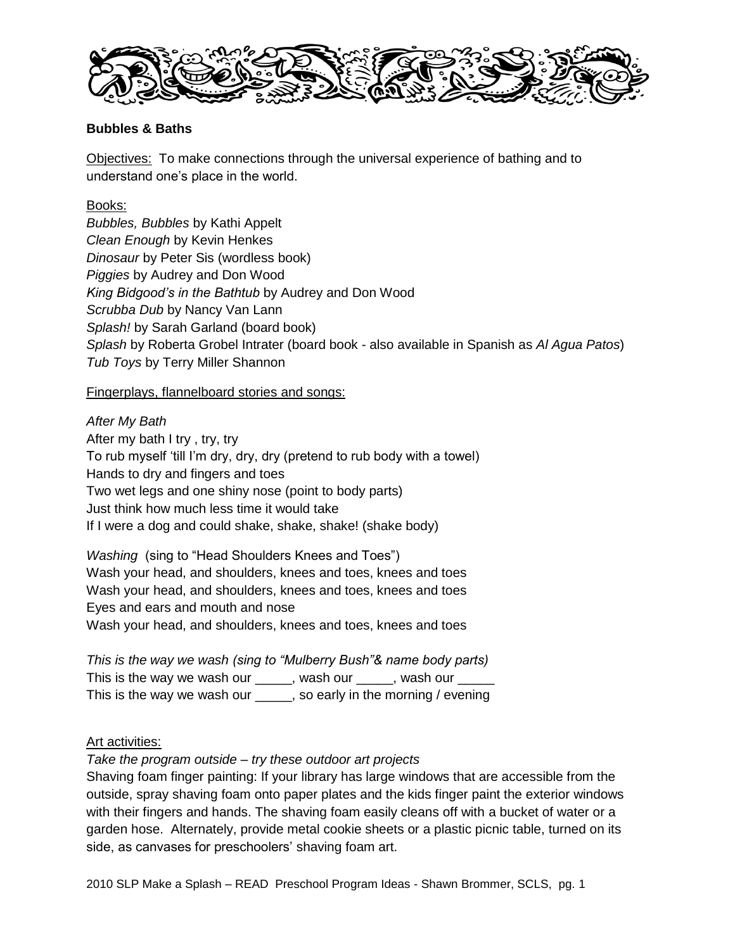

# **Bubbles & Baths**

Objectives: To make connections through the universal experience of bathing and to understand one"s place in the world.

# Books:

*Bubbles, Bubbles* by Kathi Appelt *Clean Enough* by Kevin Henkes *Dinosaur* by Peter Sis (wordless book) *Piggies* by Audrey and Don Wood *King Bidgood's in the Bathtub* by Audrey and Don Wood *Scrubba Dub* by Nancy Van Lann *Splash!* by Sarah Garland (board book) *Splash* by Roberta Grobel Intrater (board book - also available in Spanish as *Al Agua Patos*) *Tub Toys* by Terry Miller Shannon

# Fingerplays, flannelboard stories and songs:

*After My Bath* After my bath I try , try, try To rub myself "till I"m dry, dry, dry (pretend to rub body with a towel) Hands to dry and fingers and toes Two wet legs and one shiny nose (point to body parts) Just think how much less time it would take If I were a dog and could shake, shake, shake! (shake body)

*Washing*(sing to "Head Shoulders Knees and Toes") Wash your head, and shoulders, knees and toes, knees and toes Wash your head, and shoulders, knees and toes, knees and toes Eyes and ears and mouth and nose Wash your head, and shoulders, knees and toes, knees and toes

*This is the way we wash (sing to "Mulberry Bush"& name body parts)* This is the way we wash our \_\_\_\_\_, wash our \_\_\_\_, wash our \_\_ This is the way we wash our sample and in the morning / evening

## Art activities:

*Take the program outside – try these outdoor art projects*

Shaving foam finger painting: If your library has large windows that are accessible from the outside, spray shaving foam onto paper plates and the kids finger paint the exterior windows with their fingers and hands. The shaving foam easily cleans off with a bucket of water or a garden hose. Alternately, provide metal cookie sheets or a plastic picnic table, turned on its side, as canvases for preschoolers' shaving foam art.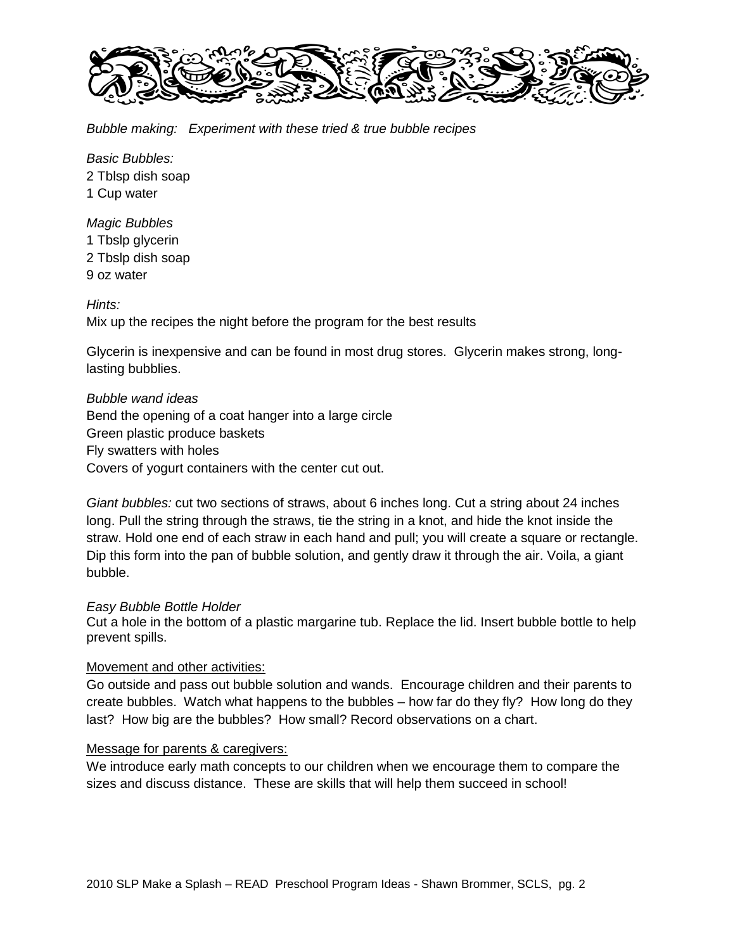

*Bubble making: Experiment with these tried & true bubble recipes*

*Basic Bubbles:* 2 Tblsp dish soap 1 Cup water

*Magic Bubbles* 1 Tbslp glycerin 2 Tbslp dish soap 9 oz water

*Hints:*

Mix up the recipes the night before the program for the best results

Glycerin is inexpensive and can be found in most drug stores. Glycerin makes strong, longlasting bubblies.

*Bubble wand ideas* Bend the opening of a coat hanger into a large circle Green plastic produce baskets Fly swatters with holes Covers of yogurt containers with the center cut out.

*Giant bubbles:* cut two sections of straws, about 6 inches long. Cut a string about 24 inches long. Pull the string through the straws, tie the string in a knot, and hide the knot inside the straw. Hold one end of each straw in each hand and pull; you will create a square or rectangle. Dip this form into the pan of bubble solution, and gently draw it through the air. Voila, a giant bubble.

#### *Easy Bubble Bottle Holder*

Cut a hole in the bottom of a plastic margarine tub. Replace the lid. Insert bubble bottle to help prevent spills.

#### Movement and other activities:

Go outside and pass out bubble solution and wands. Encourage children and their parents to create bubbles. Watch what happens to the bubbles – how far do they fly? How long do they last? How big are the bubbles? How small? Record observations on a chart.

#### Message for parents & caregivers:

We introduce early math concepts to our children when we encourage them to compare the sizes and discuss distance. These are skills that will help them succeed in school!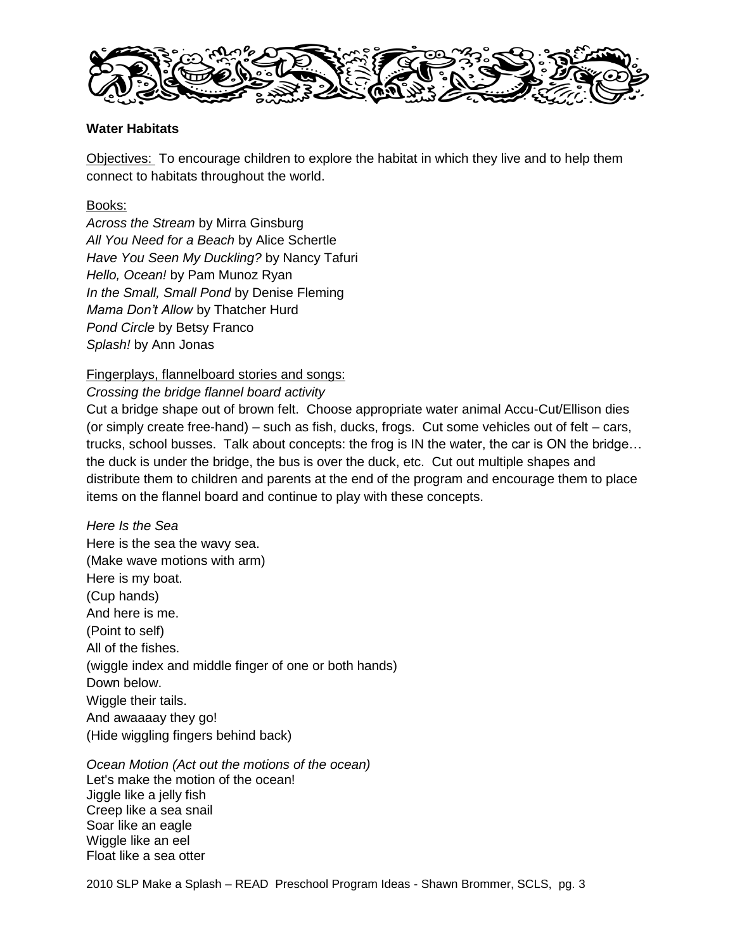

# **Water Habitats**

Objectives: To encourage children to explore the habitat in which they live and to help them connect to habitats throughout the world.

# Books:

*Across the Stream* by Mirra Ginsburg *All You Need for a Beach* by Alice Schertle *Have You Seen My Duckling?* by Nancy Tafuri *Hello, Ocean!* by Pam Munoz Ryan *In the Small, Small Pond* by Denise Fleming *Mama Don't Allow* by Thatcher Hurd *Pond Circle* by Betsy Franco *Splash!* by Ann Jonas

## Fingerplays, flannelboard stories and songs:

## *Crossing the bridge flannel board activity*

Cut a bridge shape out of brown felt. Choose appropriate water animal Accu-Cut/Ellison dies (or simply create free-hand) – such as fish, ducks, frogs. Cut some vehicles out of felt – cars, trucks, school busses. Talk about concepts: the frog is IN the water, the car is ON the bridge… the duck is under the bridge, the bus is over the duck, etc. Cut out multiple shapes and distribute them to children and parents at the end of the program and encourage them to place items on the flannel board and continue to play with these concepts.

*Here Is the Sea* Here is the sea the wavy sea. (Make wave motions with arm) Here is my boat. (Cup hands) And here is me. (Point to self) All of the fishes. (wiggle index and middle finger of one or both hands) Down below. Wiggle their tails. And awaaaay they go! (Hide wiggling fingers behind back)

*Ocean Motion (Act out the motions of the ocean)*  Let's make the motion of the ocean! Jiggle like a jelly fish Creep like a sea snail Soar like an eagle Wiggle like an eel Float like a sea otter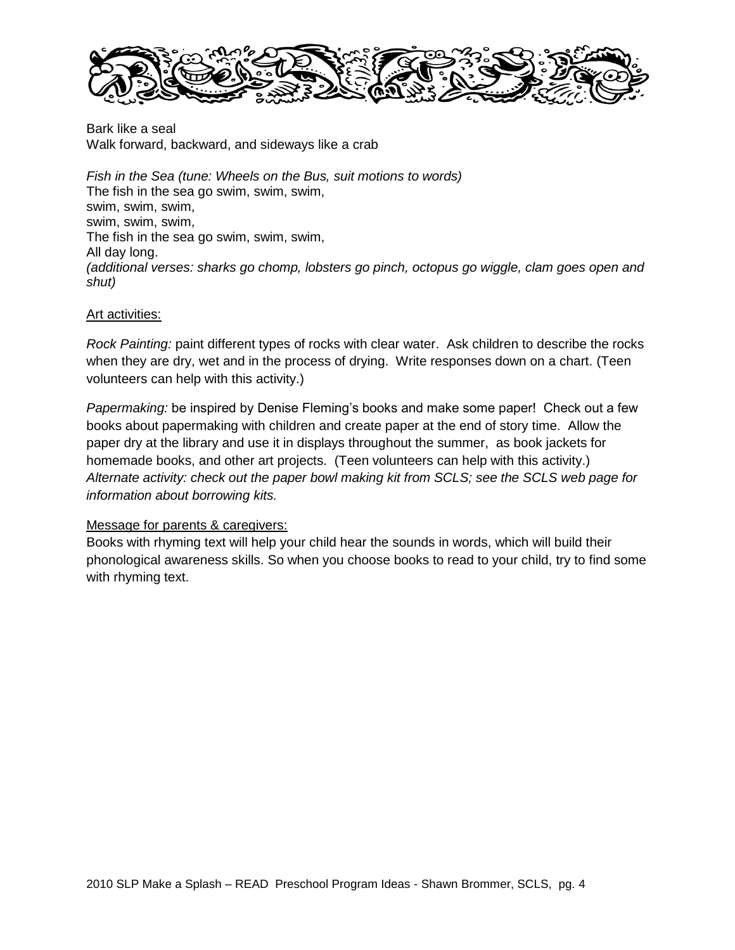

Bark like a seal Walk forward, backward, and sideways like a crab

*Fish in the Sea (tune: Wheels on the Bus, suit motions to words)* The fish in the sea go swim, swim, swim, swim, swim, swim, swim, swim, swim, The fish in the sea go swim, swim, swim, All day long. *(additional verses: sharks go chomp, lobsters go pinch, octopus go wiggle, clam goes open and shut)*

### Art activities:

*Rock Painting:* paint different types of rocks with clear water. Ask children to describe the rocks when they are dry, wet and in the process of drying. Write responses down on a chart. (Teen volunteers can help with this activity.)

*Papermaking:* be inspired by Denise Fleming's books and make some paper! Check out a few books about papermaking with children and create paper at the end of story time. Allow the paper dry at the library and use it in displays throughout the summer, as book jackets for homemade books, and other art projects. (Teen volunteers can help with this activity.) *Alternate activity: check out the paper bowl making kit from SCLS; see the SCLS web page for information about borrowing kits.*

## Message for parents & caregivers:

Books with rhyming text will help your child hear the sounds in words, which will build their phonological awareness skills. So when you choose books to read to your child, try to find some with rhyming text.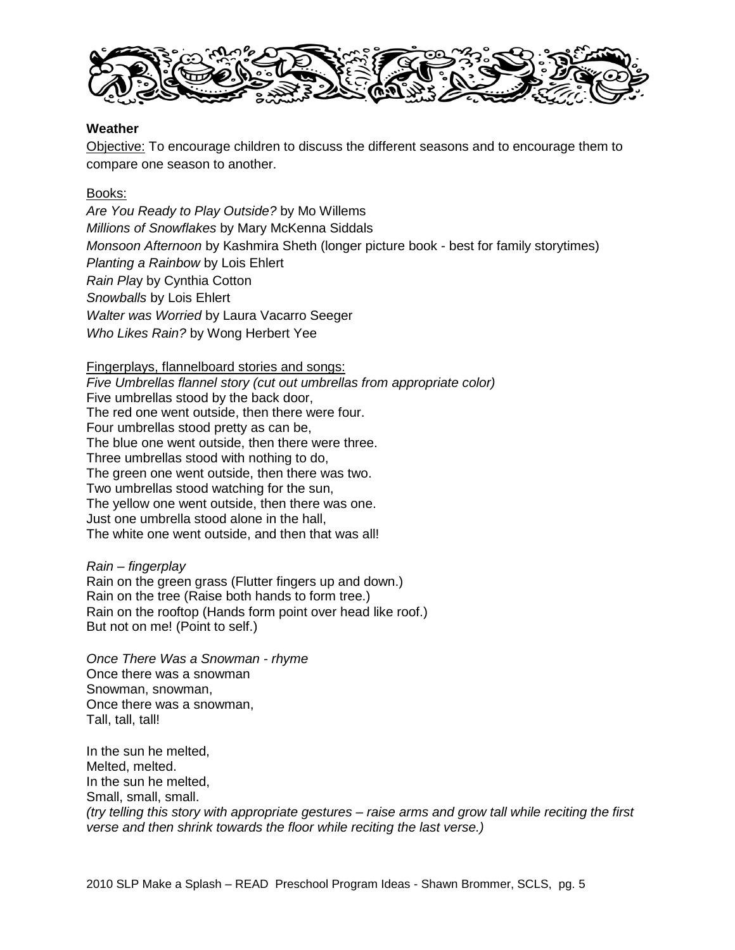

### **Weather**

Objective: To encourage children to discuss the different seasons and to encourage them to compare one season to another.

### Books:

*Are You Ready to Play Outside?* by Mo Willems *Millions of Snowflakes* by Mary McKenna Siddals *Monsoon Afternoon* by Kashmira Sheth (longer picture book - best for family storytimes) *Planting a Rainbow* by Lois Ehlert *Rain Pla*y by Cynthia Cotton *Snowballs* by Lois Ehlert *Walter was Worried* by Laura Vacarro Seeger *Who Likes Rain?* by Wong Herbert Yee

Fingerplays, flannelboard stories and songs:

*Five Umbrellas flannel story (cut out umbrellas from appropriate color)* Five umbrellas stood by the back door, The red one went outside, then there were four. Four umbrellas stood pretty as can be, The blue one went outside, then there were three. Three umbrellas stood with nothing to do, The green one went outside, then there was two. Two umbrellas stood watching for the sun, The yellow one went outside, then there was one. Just one umbrella stood alone in the hall, The white one went outside, and then that was all!

*Rain – fingerplay* Rain on the green grass (Flutter fingers up and down.) Rain on the tree (Raise both hands to form tree.) Rain on the rooftop (Hands form point over head like roof.) But not on me! (Point to self.)

*Once There Was a Snowman - rhyme* Once there was a snowman Snowman, snowman, Once there was a snowman, Tall, tall, tall!

In the sun he melted, Melted, melted. In the sun he melted, Small, small, small. *(try telling this story with appropriate gestures – raise arms and grow tall while reciting the first verse and then shrink towards the floor while reciting the last verse.)*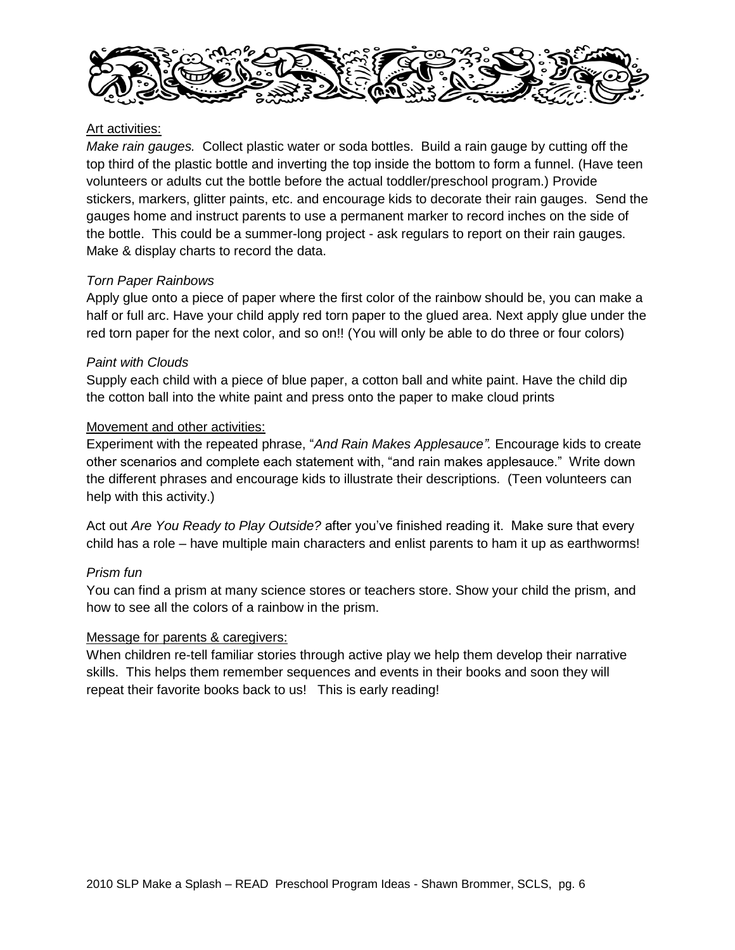

# Art activities:

*Make rain gauges.* Collect plastic water or soda bottles. Build a rain gauge by cutting off the top third of the plastic bottle and inverting the top inside the bottom to form a funnel. (Have teen volunteers or adults cut the bottle before the actual toddler/preschool program.) Provide stickers, markers, glitter paints, etc. and encourage kids to decorate their rain gauges. Send the gauges home and instruct parents to use a permanent marker to record inches on the side of the bottle. This could be a summer-long project - ask regulars to report on their rain gauges. Make & display charts to record the data.

# *Torn Paper Rainbows*

Apply glue onto a piece of paper where the first color of the rainbow should be, you can make a half or full arc. Have your child apply red torn paper to the glued area. Next apply glue under the red torn paper for the next color, and so on!! (You will only be able to do three or four colors)

# *Paint with Clouds*

Supply each child with a piece of blue paper, a cotton ball and white paint. Have the child dip the cotton ball into the white paint and press onto the paper to make cloud prints

# Movement and other activities:

Experiment with the repeated phrase, "*And Rain Makes Applesauce".* Encourage kids to create other scenarios and complete each statement with, "and rain makes applesauce." Write down the different phrases and encourage kids to illustrate their descriptions. (Teen volunteers can help with this activity.)

Act out *Are You Ready to Play Outside?* after you"ve finished reading it. Make sure that every child has a role – have multiple main characters and enlist parents to ham it up as earthworms!

# *Prism fun*

You can find a prism at many science stores or teachers store. Show your child the prism, and how to see all the colors of a rainbow in the prism.

## Message for parents & caregivers:

When children re-tell familiar stories through active play we help them develop their narrative skills. This helps them remember sequences and events in their books and soon they will repeat their favorite books back to us! This is early reading!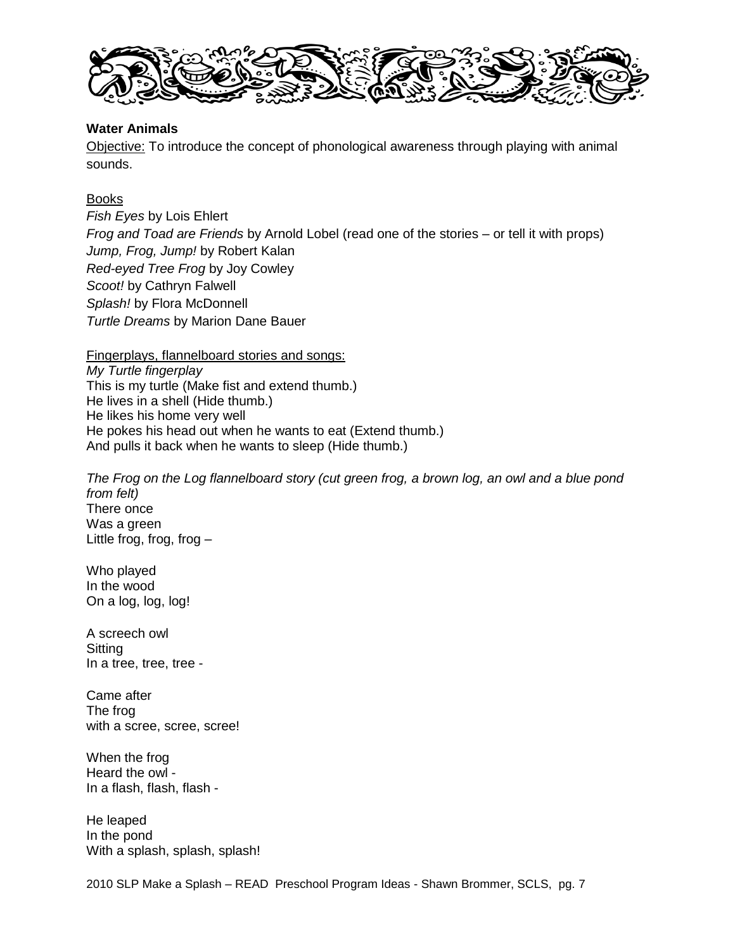

## **Water Animals**

Objective: To introduce the concept of phonological awareness through playing with animal sounds.

# Books

*Fish Eyes* by Lois Ehlert *Frog and Toad are Friends* by Arnold Lobel (read one of the stories – or tell it with props) *Jump, Frog, Jump!* by Robert Kalan *Red-eyed Tree Frog* by Joy Cowley *Scoot!* by Cathryn Falwell *Splash!* by Flora McDonnell *Turtle Dreams* by Marion Dane Bauer

Fingerplays, flannelboard stories and songs: *My Turtle fingerplay* This is my turtle (Make fist and extend thumb.) He lives in a shell (Hide thumb.) He likes his home very well He pokes his head out when he wants to eat (Extend thumb.) And pulls it back when he wants to sleep (Hide thumb.)

*The Frog on the Log flannelboard story (cut green frog, a brown log, an owl and a blue pond from felt)* There once Was a green Little frog, frog, frog –

Who played In the wood On a log, log, log!

A screech owl **Sitting** In a tree, tree, tree -

Came after The frog with a scree, scree, scree!

When the frog Heard the owl - In a flash, flash, flash -

He leaped In the pond With a splash, splash, splash!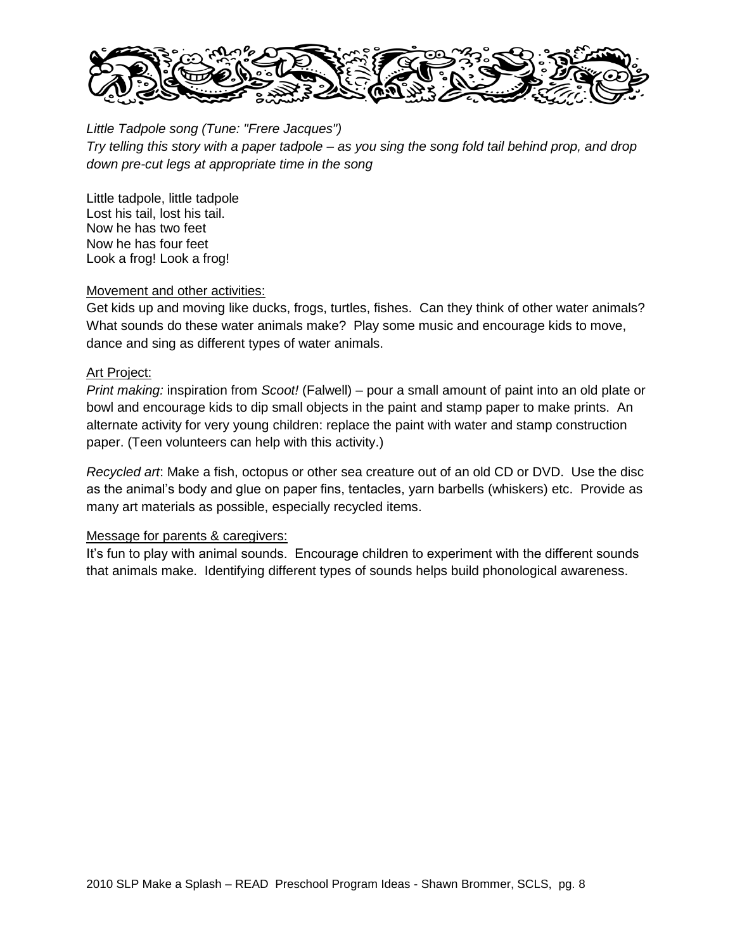

*Little Tadpole song (Tune: "Frere Jacques") Try telling this story with a paper tadpole – as you sing the song fold tail behind prop, and drop down pre-cut legs at appropriate time in the song*

Little tadpole, little tadpole Lost his tail, lost his tail. Now he has two feet Now he has four feet Look a frog! Look a frog!

## Movement and other activities:

Get kids up and moving like ducks, frogs, turtles, fishes. Can they think of other water animals? What sounds do these water animals make? Play some music and encourage kids to move, dance and sing as different types of water animals.

# Art Project:

*Print making:* inspiration from *Scoot!* (Falwell) – pour a small amount of paint into an old plate or bowl and encourage kids to dip small objects in the paint and stamp paper to make prints. An alternate activity for very young children: replace the paint with water and stamp construction paper. (Teen volunteers can help with this activity.)

*Recycled art*: Make a fish, octopus or other sea creature out of an old CD or DVD. Use the disc as the animal"s body and glue on paper fins, tentacles, yarn barbells (whiskers) etc. Provide as many art materials as possible, especially recycled items.

## Message for parents & caregivers:

It's fun to play with animal sounds. Encourage children to experiment with the different sounds that animals make. Identifying different types of sounds helps build phonological awareness.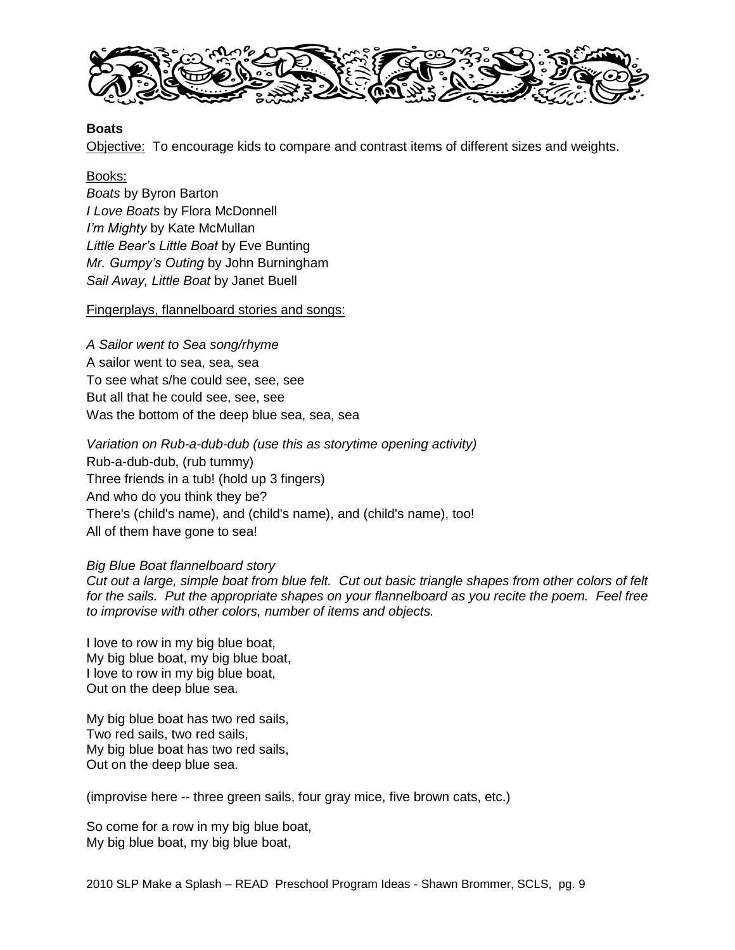

### **Boats**

Objective: To encourage kids to compare and contrast items of different sizes and weights.

### Books:

*Boats* by Byron Barton *I Love Boats* by Flora McDonnell *I'm Mighty* by Kate McMullan *Little Bear's Little Boat* by Eve Bunting *Mr. Gumpy's Outing* by John Burningham *Sail Away, Little Boat* by Janet Buell

### Fingerplays, flannelboard stories and songs:

*A Sailor went to Sea song/rhyme* A sailor went to sea, sea, sea To see what s/he could see, see, see But all that he could see, see, see Was the bottom of the deep blue sea, sea, sea

*Variation on Rub-a-dub-dub (use this as storytime opening activity)* Rub-a-dub-dub, (rub tummy) Three friends in a tub! (hold up 3 fingers) And who do you think they be? There's (child's name), and (child's name), and (child's name), too! All of them have gone to sea!

#### *Big Blue Boat flannelboard story*

*Cut out a large, simple boat from blue felt. Cut out basic triangle shapes from other colors of felt for the sails. Put the appropriate shapes on your flannelboard as you recite the poem. Feel free to improvise with other colors, number of items and objects.*

I love to row in my big blue boat, My big blue boat, my big blue boat, I love to row in my big blue boat, Out on the deep blue sea.

My big blue boat has two red sails, Two red sails, two red sails, My big blue boat has two red sails, Out on the deep blue sea.

(improvise here -- three green sails, four gray mice, five brown cats, etc.)

So come for a row in my big blue boat, My big blue boat, my big blue boat,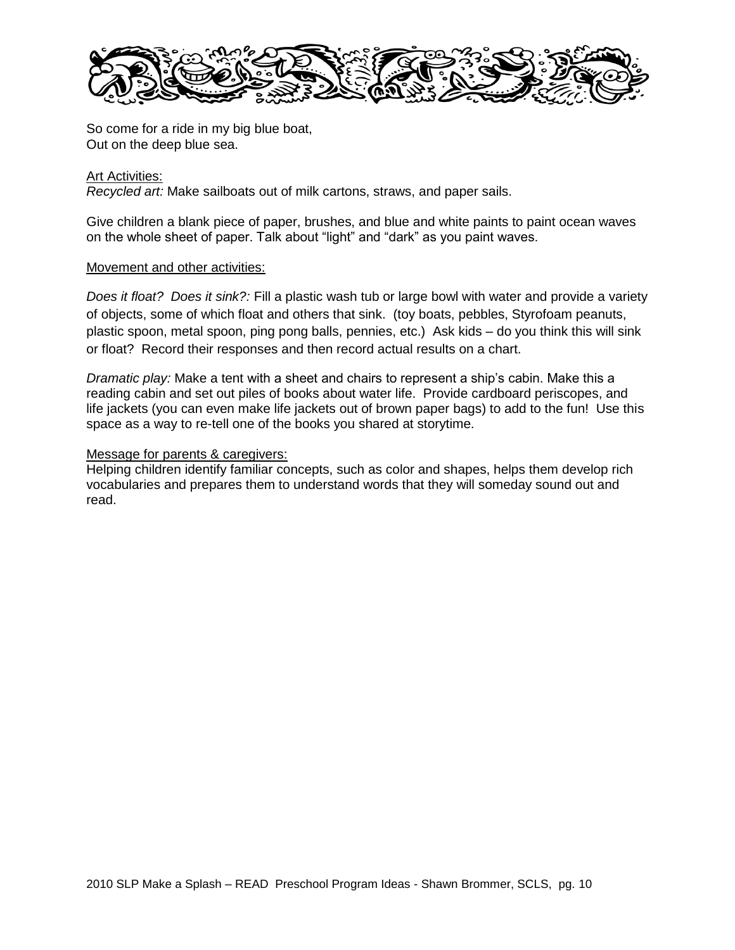

So come for a ride in my big blue boat, Out on the deep blue sea.

### Art Activities:

*Recycled art:* Make sailboats out of milk cartons, straws, and paper sails.

Give children a blank piece of paper, brushes, and blue and white paints to paint ocean waves on the whole sheet of paper. Talk about "light" and "dark" as you paint waves.

#### Movement and other activities:

*Does it float? Does it sink?:* Fill a plastic wash tub or large bowl with water and provide a variety of objects, some of which float and others that sink. (toy boats, pebbles, Styrofoam peanuts, plastic spoon, metal spoon, ping pong balls, pennies, etc.) Ask kids – do you think this will sink or float? Record their responses and then record actual results on a chart.

*Dramatic play:* Make a tent with a sheet and chairs to represent a ship"s cabin. Make this a reading cabin and set out piles of books about water life. Provide cardboard periscopes, and life jackets (you can even make life jackets out of brown paper bags) to add to the fun! Use this space as a way to re-tell one of the books you shared at storytime.

### Message for parents & caregivers:

Helping children identify familiar concepts, such as color and shapes, helps them develop rich vocabularies and prepares them to understand words that they will someday sound out and read.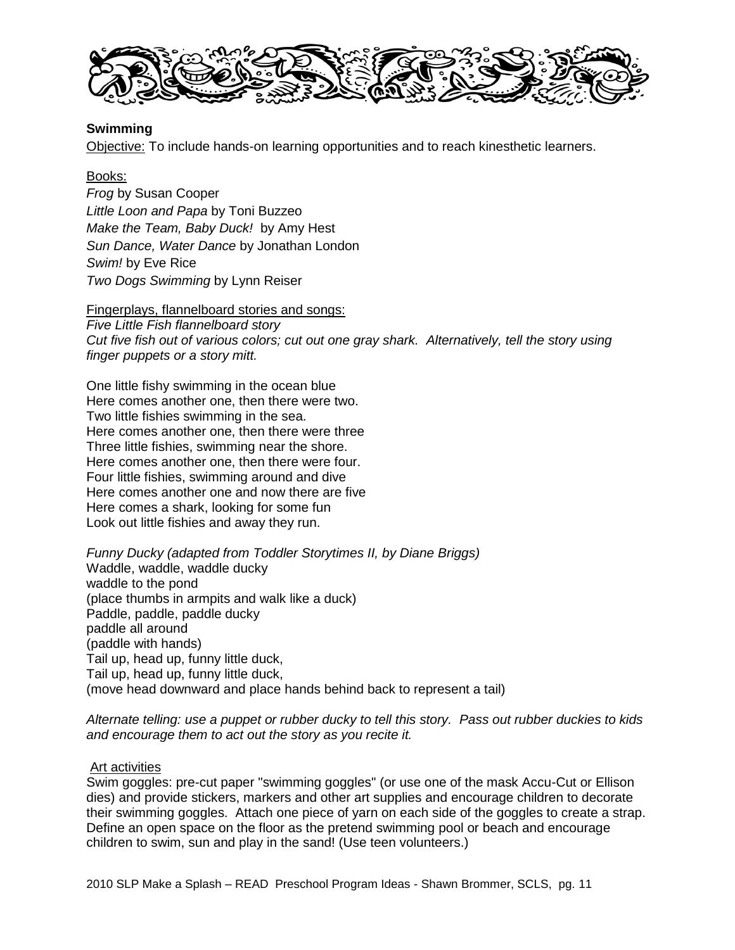

### **Swimming**

Objective: To include hands-on learning opportunities and to reach kinesthetic learners.

### Books:

*Frog* by Susan Cooper *Little Loon and Papa* by Toni Buzzeo *Make the Team, Baby Duck!* by Amy Hest *Sun Dance, Water Dance* by Jonathan London *Swim!* by Eve Rice *Two Dogs Swimming* by Lynn Reiser

#### Fingerplays, flannelboard stories and songs:

*Five Little Fish flannelboard story Cut five fish out of various colors; cut out one gray shark. Alternatively, tell the story using finger puppets or a story mitt.*

One little fishy swimming in the ocean blue Here comes another one, then there were two. Two little fishies swimming in the sea. Here comes another one, then there were three Three little fishies, swimming near the shore. Here comes another one, then there were four. Four little fishies, swimming around and dive Here comes another one and now there are five Here comes a shark, looking for some fun Look out little fishies and away they run.

*Funny Ducky (adapted from Toddler Storytimes II, by Diane Briggs)* Waddle, waddle, waddle ducky waddle to the pond (place thumbs in armpits and walk like a duck) Paddle, paddle, paddle ducky paddle all around (paddle with hands) Tail up, head up, funny little duck, Tail up, head up, funny little duck, (move head downward and place hands behind back to represent a tail)

*Alternate telling: use a puppet or rubber ducky to tell this story. Pass out rubber duckies to kids and encourage them to act out the story as you recite it.*

#### Art activities

Swim goggles: pre-cut paper "swimming goggles" (or use one of the mask Accu-Cut or Ellison dies) and provide stickers, markers and other art supplies and encourage children to decorate their swimming goggles. Attach one piece of yarn on each side of the goggles to create a strap. Define an open space on the floor as the pretend swimming pool or beach and encourage children to swim, sun and play in the sand! (Use teen volunteers.)